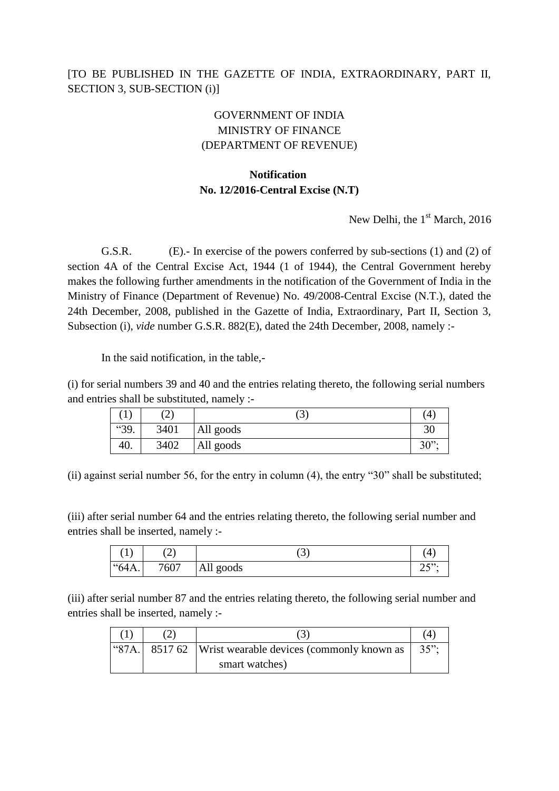## [TO BE PUBLISHED IN THE GAZETTE OF INDIA, EXTRAORDINARY, PART II, SECTION 3, SUB-SECTION (i)]

## GOVERNMENT OF INDIA MINISTRY OF FINANCE (DEPARTMENT OF REVENUE)

## **Notification No. 12/2016-Central Excise (N.T)**

New Delhi, the  $1<sup>st</sup>$  March, 2016

G.S.R. (E).- In exercise of the powers conferred by sub-sections (1) and (2) of section 4A of the Central Excise Act, 1944 (1 of 1944), the Central Government hereby makes the following further amendments in the notification of the Government of India in the Ministry of Finance (Department of Revenue) No. 49/2008-Central Excise (N.T.), dated the 24th December, 2008, published in the Gazette of India, Extraordinary, Part II, Section 3, Subsection (i), *vide* number G.S.R. 882(E), dated the 24th December, 2008, namely :-

In the said notification, in the table,-

(i) for serial numbers 39 and 40 and the entries relating thereto, the following serial numbers and entries shall be substituted, namely :-

| ъ.   | $\hat{\phantom{a}}$<br>$\overline{\phantom{0}}$ | い         | 4           |
|------|-------------------------------------------------|-----------|-------------|
| "39. | 3401                                            | All goods | 30          |
| 40.  | 3402                                            | All goods | າ ດາາ<br>υU |

(ii) against serial number 56, for the entry in column (4), the entry "30" shall be substituted;

(iii) after serial number 64 and the entries relating thereto, the following serial number and entries shall be inserted, namely :-

| $\overline{ }$ | ،  ے | ັ         | 4                                  |
|----------------|------|-----------|------------------------------------|
| "64A.          | 7607 | All goods | $\cap$ $\Gamma$ <sup>22</sup><br>ب |

(iii) after serial number 87 and the entries relating thereto, the following serial number and entries shall be inserted, namely :-

|  | $\lvert$ "87A. 8517 62 Wrist wearable devices (commonly known as | $35$ ": |
|--|------------------------------------------------------------------|---------|
|  | smart watches)                                                   |         |